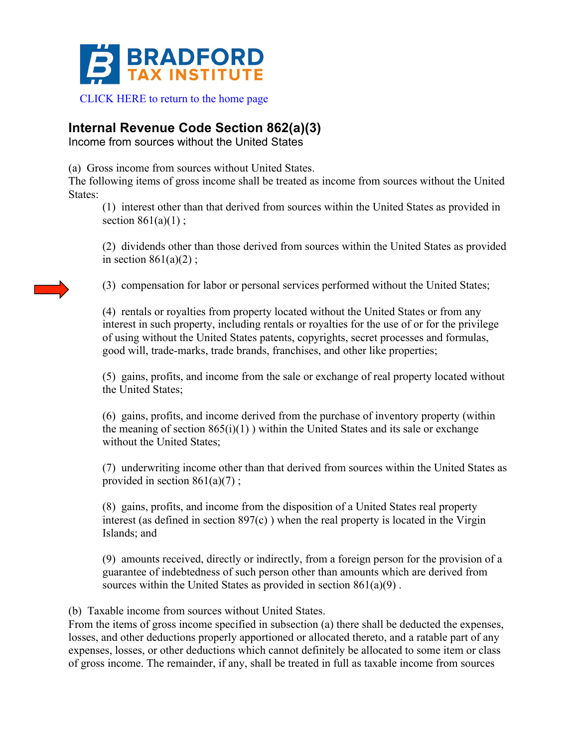

## **Internal Revenue Code Section 862(a)(3)**

Income from sources without the United States

(a) Gross income from sources without United States.

The following items of gross income shall be treated as income from sources without the United States:

(1) interest other than that derived from sources within the United States as provided in section  $861(a)(1)$ ;

(2) dividends other than those derived from sources within the United States as provided in section  $861(a)(2)$ ;

(3) compensation for labor or personal services performed without the United States;

(4) rentals or royalties from property located without the United States or from any interest in such property, including rentals or royalties for the use of or for the privilege of using without the United States patents, copyrights, secret processes and formulas, good will, trade-marks, trade brands, franchises, and other like properties;

(5) gains, profits, and income from the sale or exchange of real property located without the United States;

(6) gains, profits, and income derived from the purchase of inventory property (within the meaning of section  $865(i)(1)$ ) within the United States and its sale or exchange without the United States;

(7) underwriting income other than that derived from sources within the United States as provided in section  $861(a)(7)$ ;

(8) gains, profits, and income from the disposition of a United States real property interest (as defined in section 897(c) ) when the real property is located in the Virgin Islands; and

(9) amounts received, directly or indirectly, from a foreign person for the provision of a guarantee of indebtedness of such person other than amounts which are derived from sources within the United States as provided in section 861(a)(9).

(b) Taxable income from sources without United States.

From the items of gross income specified in subsection (a) there shall be deducted the expenses, losses, and other deductions properly apportioned or allocated thereto, and a ratable part of any expenses, losses, or other deductions which cannot definitely be allocated to some item or class of gross income. The remainder, if any, shall be treated in full as taxable income from sources